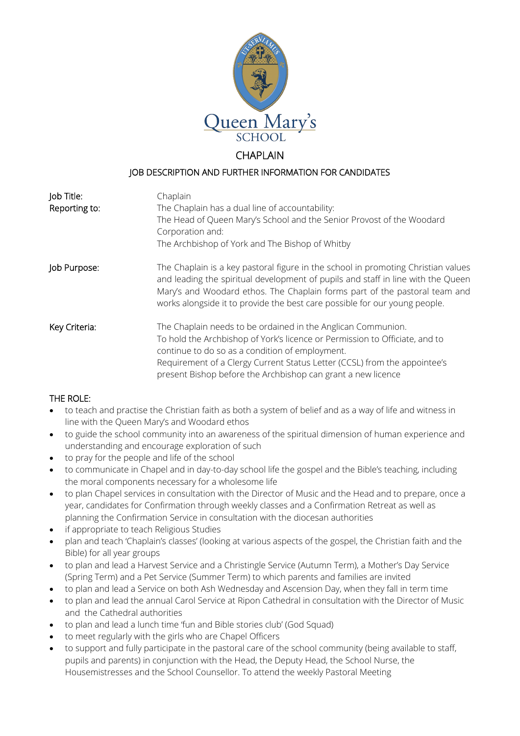

# **CHAPI AIN**

### JOB DESCRIPTION AND FURTHER INFORMATION FOR CANDIDATES

| Job Title:    | Chaplain                                                                                                                                                                                                                                                                                                                                    |
|---------------|---------------------------------------------------------------------------------------------------------------------------------------------------------------------------------------------------------------------------------------------------------------------------------------------------------------------------------------------|
| Reporting to: | The Chaplain has a dual line of accountability:                                                                                                                                                                                                                                                                                             |
|               | The Head of Queen Mary's School and the Senior Provost of the Woodard<br>Corporation and:                                                                                                                                                                                                                                                   |
|               | The Archbishop of York and The Bishop of Whitby                                                                                                                                                                                                                                                                                             |
| Job Purpose:  | The Chaplain is a key pastoral figure in the school in promoting Christian values<br>and leading the spiritual development of pupils and staff in line with the Queen<br>Mary's and Woodard ethos. The Chaplain forms part of the pastoral team and<br>works alongside it to provide the best care possible for our young people.           |
| Key Criteria: | The Chaplain needs to be ordained in the Anglican Communion.<br>To hold the Archbishop of York's licence or Permission to Officiate, and to<br>continue to do so as a condition of employment.<br>Requirement of a Clergy Current Status Letter (CCSL) from the appointee's<br>present Bishop before the Archbishop can grant a new licence |

## THE ROLE:

- to teach and practise the Christian faith as both a system of belief and as a way of life and witness in line with the Queen Mary's and Woodard ethos
- to guide the school community into an awareness of the spiritual dimension of human experience and understanding and encourage exploration of such
- to pray for the people and life of the school
- to communicate in Chapel and in day-to-day school life the gospel and the Bible's teaching, including the moral components necessary for a wholesome life
- to plan Chapel services in consultation with the Director of Music and the Head and to prepare, once a year, candidates for Confirmation through weekly classes and a Confirmation Retreat as well as planning the Confirmation Service in consultation with the diocesan authorities
- if appropriate to teach Religious Studies
- plan and teach 'Chaplain's classes' (looking at various aspects of the gospel, the Christian faith and the Bible) for all year groups
- to plan and lead a Harvest Service and a Christingle Service (Autumn Term), a Mother's Day Service (Spring Term) and a Pet Service (Summer Term) to which parents and families are invited
- to plan and lead a Service on both Ash Wednesday and Ascension Day, when they fall in term time
- to plan and lead the annual Carol Service at Ripon Cathedral in consultation with the Director of Music and the Cathedral authorities
- to plan and lead a lunch time 'fun and Bible stories club' (God Squad)
- to meet regularly with the girls who are Chapel Officers
- to support and fully participate in the pastoral care of the school community (being available to staff, pupils and parents) in conjunction with the Head, the Deputy Head, the School Nurse, the Housemistresses and the School Counsellor. To attend the weekly Pastoral Meeting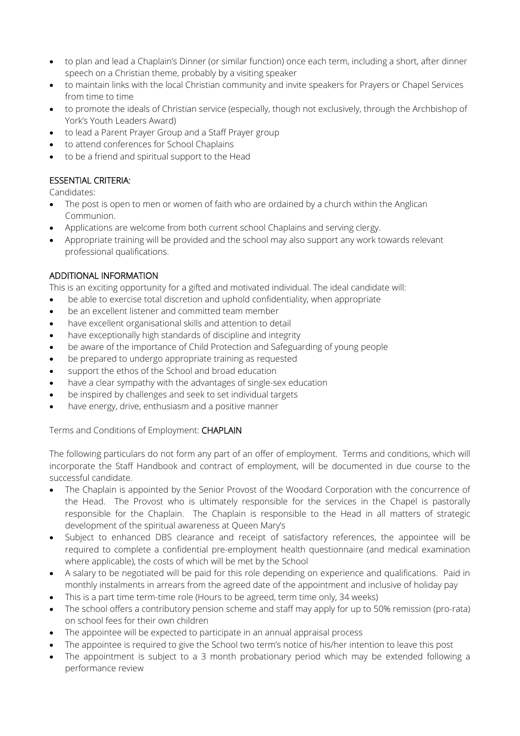- to plan and lead a Chaplain's Dinner (or similar function) once each term, including a short, after dinner speech on a Christian theme, probably by a visiting speaker
- to maintain links with the local Christian community and invite speakers for Prayers or Chapel Services from time to time
- to promote the ideals of Christian service (especially, though not exclusively, through the Archbishop of York's Youth Leaders Award)
- to lead a Parent Prayer Group and a Staff Prayer group
- to attend conferences for School Chaplains
- to be a friend and spiritual support to the Head

## ESSENTIAL CRITERIA:

Candidates:

- The post is open to men or women of faith who are ordained by a church within the Anglican Communion.
- Applications are welcome from both current school Chaplains and serving clergy.
- Appropriate training will be provided and the school may also support any work towards relevant professional qualifications.

## ADDITIONAL INFORMATION

This is an exciting opportunity for a gifted and motivated individual. The ideal candidate will:

- be able to exercise total discretion and uphold confidentiality, when appropriate
- be an excellent listener and committed team member
- have excellent organisational skills and attention to detail
- have exceptionally high standards of discipline and integrity
- be aware of the importance of Child Protection and Safeguarding of young people
- be prepared to undergo appropriate training as requested
- support the ethos of the School and broad education
- have a clear sympathy with the advantages of single-sex education
- be inspired by challenges and seek to set individual targets
- have energy, drive, enthusiasm and a positive manner

#### Terms and Conditions of Employment: CHAPLAIN

The following particulars do not form any part of an offer of employment. Terms and conditions, which will incorporate the Staff Handbook and contract of employment, will be documented in due course to the successful candidate.

- The Chaplain is appointed by the Senior Provost of the Woodard Corporation with the concurrence of the Head. The Provost who is ultimately responsible for the services in the Chapel is pastorally responsible for the Chaplain. The Chaplain is responsible to the Head in all matters of strategic development of the spiritual awareness at Queen Mary's
- Subject to enhanced DBS clearance and receipt of satisfactory references, the appointee will be required to complete a confidential pre-employment health questionnaire (and medical examination where applicable), the costs of which will be met by the School
- A salary to be negotiated will be paid for this role depending on experience and qualifications. Paid in monthly instalments in arrears from the agreed date of the appointment and inclusive of holiday pay
- This is a part time term-time role (Hours to be agreed, term time only, 34 weeks)
- The school offers a contributory pension scheme and staff may apply for up to 50% remission (pro-rata) on school fees for their own children
- The appointee will be expected to participate in an annual appraisal process
- The appointee is required to give the School two term's notice of his/her intention to leave this post
- The appointment is subject to a 3 month probationary period which may be extended following a performance review